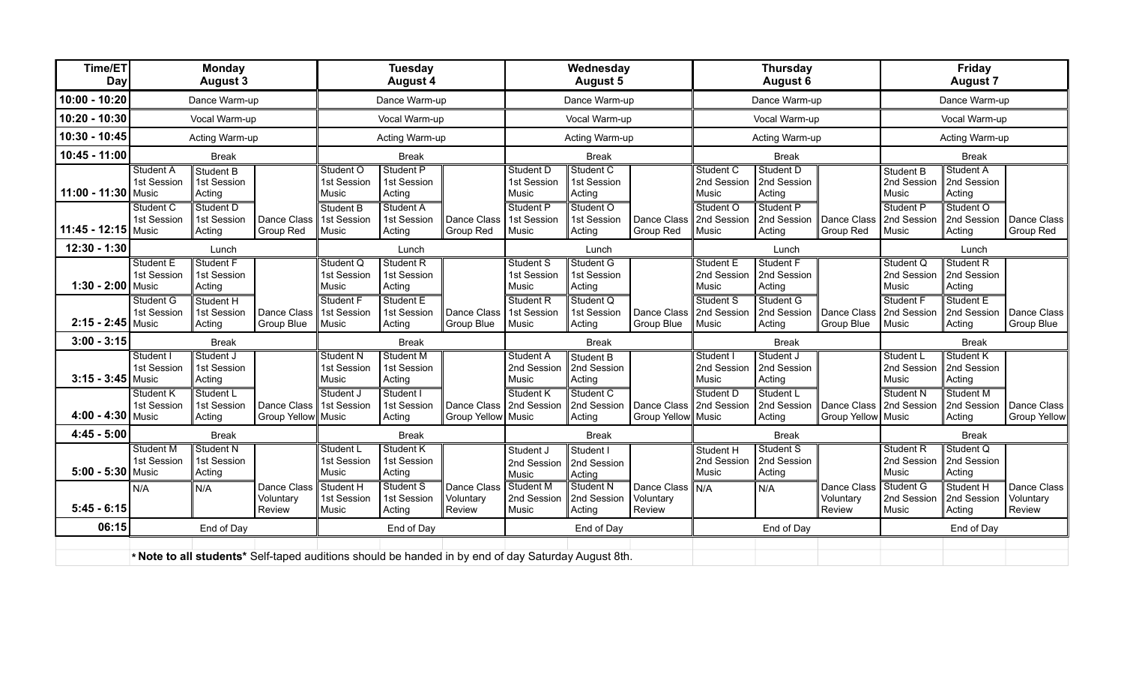| Time/ET<br><b>Day</b> | <b>Monday</b><br><b>August 3</b> |                                                                                                     |                                    | <b>Tuesday</b><br><b>August 4</b>        |                                    |                                    | Wednesday<br><b>August 5</b>      |                                    |                                          | <b>Thursday</b><br>August 6              |                                    |                                               | <b>Friday</b><br><b>August 7</b>   |                                    |                                    |
|-----------------------|----------------------------------|-----------------------------------------------------------------------------------------------------|------------------------------------|------------------------------------------|------------------------------------|------------------------------------|-----------------------------------|------------------------------------|------------------------------------------|------------------------------------------|------------------------------------|-----------------------------------------------|------------------------------------|------------------------------------|------------------------------------|
| $10:00 - 10:20$       | Dance Warm-up                    |                                                                                                     |                                    | Dance Warm-up                            |                                    |                                    | Dance Warm-up                     |                                    |                                          | Dance Warm-up                            |                                    | Dance Warm-up                                 |                                    |                                    |                                    |
| 10:20 - 10:30         | Vocal Warm-up                    |                                                                                                     |                                    | Vocal Warm-up                            |                                    |                                    | Vocal Warm-up                     |                                    |                                          | Vocal Warm-up                            |                                    | Vocal Warm-up                                 |                                    |                                    |                                    |
| 10:30 - 10:45         | Acting Warm-up                   |                                                                                                     |                                    | Acting Warm-up                           |                                    |                                    | Acting Warm-up                    |                                    |                                          | Acting Warm-up                           |                                    |                                               | Acting Warm-up                     |                                    |                                    |
| 10:45 - 11:00         | <b>Break</b>                     |                                                                                                     |                                    | <b>Break</b>                             |                                    |                                    | <b>Break</b>                      |                                    |                                          | <b>Break</b>                             |                                    |                                               | <b>Break</b>                       |                                    |                                    |
| 11:00 - 11:30 Music   | Student A<br>1st Session         | Student B<br>1st Session<br>Acting                                                                  |                                    | Student O<br>1st Session<br>Music        | Student P<br>1st Session<br>Acting |                                    | Student D<br>1st Session<br>Music | Student C<br>1st Session<br>Acting |                                          | Student C<br>2nd Session<br>Music        | Student D<br>2nd Session<br>Acting |                                               | Student B<br>2nd Session<br>Music  | Student A<br>2nd Session<br>Acting |                                    |
| 11:45 - 12:15 Music   | Student C<br>1st Session         | Student D<br>1st Session<br>Acting                                                                  | Dance Class<br>Group Red           | Student B<br>1st Session<br>Music        | Student A<br>1st Session<br>Acting | Dance Class<br>Group Red           | Student P<br>1st Session<br>Music | Student O<br>1st Session<br>Acting | Dance Class<br>Group Red                 | Student O<br>2nd Session<br>Music        | Student P<br>2nd Session<br>Acting | Dance Class<br>Group Red                      | Student P<br>2nd Session<br>Music  | Student O<br>2nd Session<br>Acting | Dance Class<br>Group Red           |
| $12:30 - 1:30$        | Lunch                            |                                                                                                     |                                    | Lunch                                    |                                    |                                    | Lunch                             |                                    |                                          | Lunch                                    |                                    | Lunch                                         |                                    |                                    |                                    |
| 1:30 - 2:00 Music     | Student E<br>1st Session         | Student F<br>1st Session<br>Acting                                                                  |                                    | Student Q<br>1st Session<br>Music        | Student R<br>1st Session<br>Acting |                                    | Student S<br>1st Session<br>Music | Student G<br>1st Session<br>Acting |                                          | <b>Student E</b><br>2nd Session<br>Music | Student F<br>2nd Session<br>Acting |                                               | Student Q<br>2nd Session<br>Music  | Student R<br>2nd Session<br>Acting |                                    |
| $2:15 - 2:45$ Music   | Student G<br>1st Session         | Student H<br>1st Session<br>Acting                                                                  | Dance Class<br>Group Blue          | Student F<br>1st Session<br>Music        | Student E<br>1st Session<br>Acting | Dance Class<br>Group Blue          | Student R<br>1st Session<br>Music | Student Q<br>1st Session<br>Acting | Dance Class<br>Group Blue                | Student S<br>2nd Session<br>Music        | Student G<br>2nd Session<br>Acting | Dance Class 2nd Session<br>Group Blue         | Student F<br>Music                 | Student E<br>2nd Session<br>Acting | Dance Class<br>Group Blue          |
| $3:00 - 3:15$         | <b>Break</b>                     |                                                                                                     |                                    | <b>Break</b>                             |                                    |                                    | <b>Break</b>                      |                                    |                                          | <b>Break</b>                             |                                    | <b>Break</b>                                  |                                    |                                    |                                    |
| $3:15 - 3:45$ Music   | Student I<br>1st Session         | Student J<br>1st Session<br>Acting                                                                  |                                    | <b>Student N</b><br>1st Session<br>Music | Student M<br>1st Session<br>Acting |                                    | Student A<br>2nd Session<br>Music | Student B<br>2nd Session<br>Acting |                                          | Student I<br>2nd Session<br>Music        | Student J<br>2nd Session<br>Acting |                                               | Student L<br>2nd Session<br>∥Music | Student K<br>2nd Session<br>Acting |                                    |
| 4:00 - 4:30 Music     | Student K<br>1st Session         | Student L<br>1st Session<br>Acting                                                                  | Dance Class<br>Group Yellow Music  | Student J<br>1st Session                 | Student I<br>1st Session<br>Acting | Dance Class<br>Group Yellow Music  | Student K<br>2nd Session          | Student C<br>2nd Session<br>Acting | Dance Class<br>Group Yellow Music        | Student D<br>2nd Session                 | Student L<br>2nd Session<br>Acting | Dance Class 2nd Session<br>Group Yellow Music | Student N                          | Student M<br>2nd Session<br>Acting | Dance Class<br><b>Group Yellow</b> |
| $4:45 - 5:00$         | <b>Break</b>                     |                                                                                                     |                                    | <b>Break</b>                             |                                    |                                    | <b>Break</b>                      |                                    |                                          | <b>Break</b>                             |                                    |                                               | <b>Break</b>                       |                                    |                                    |
| 5:00 - 5:30 Music     | Student M<br>1st Session         | Student N<br>1st Session<br>Acting                                                                  |                                    | Student L<br>1st Session<br>Music        | Student K<br>1st Session<br>Acting |                                    | Student J<br>2nd Session<br>Music | Student I<br>2nd Session<br>Acting |                                          | Student H<br>2nd Session<br>Music        | Student S<br>2nd Session<br>Acting |                                               | Student R<br>2nd Session<br>Music  | Student Q<br>2nd Session<br>Acting |                                    |
| $5:45 - 6:15$         | N/A                              | N/A                                                                                                 | Dance Class<br>Voluntary<br>Review | Student H<br>1st Session<br>Music        | Student S<br>1st Session<br>Acting | Dance Class<br>Voluntary<br>Review | Student M<br>2nd Session<br>Music | Student N<br>2nd Session<br>Acting | Dance Class   N/A<br>Voluntary<br>Review |                                          | N/A                                | Dance Class<br>Voluntary<br>Review            | Student G<br>2nd Session<br>Music  | Student H<br>2nd Session<br>Acting | Dance Class<br>Voluntary<br>Review |
| 06:15                 | End of Day                       |                                                                                                     |                                    | End of Day                               |                                    |                                    | End of Day                        |                                    |                                          | End of Day                               |                                    |                                               | End of Day                         |                                    |                                    |
|                       |                                  | * Note to all students* Self-taped auditions should be handed in by end of day Saturday August 8th. |                                    |                                          |                                    |                                    |                                   |                                    |                                          |                                          |                                    |                                               |                                    |                                    |                                    |